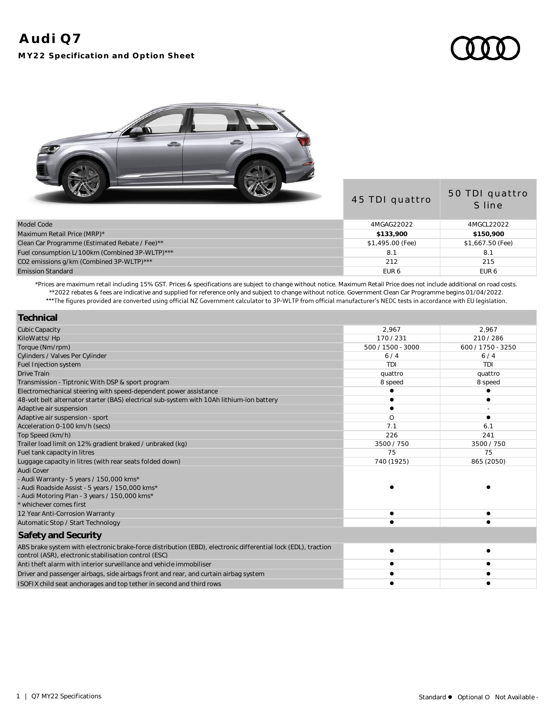## **Audi Q7**

**MY22 Specification and Option Sheet**



|                                                | 45 TDI quattro   | 50 TDI quattro<br>S line |
|------------------------------------------------|------------------|--------------------------|
| Model Code                                     | 4MGAG22022       | 4MGCL22022               |
| Maximum Retail Price (MRP)*                    | \$133,900        | \$150,900                |
| Clean Car Programme (Estimated Rebate / Fee)** | \$1,495.00 (Fee) | \$1,667.50 (Fee)         |
| Fuel consumption L/100km (Combined 3P-WLTP)*** | 8.1              | 8.1                      |
| CO2 emissions g/km (Combined 3P-WLTP)***       | 212              | 215                      |
| Emission Standard                              | EUR <sub>6</sub> | EUR <sub>6</sub>         |

\*Prices are maximum retail including 15% GST. Prices & specifications are subject to change without notice. Maximum Retail Price does not include additional on road costs. \*\*2022 rebates & fees are indicative and supplied for reference only and subject to change without notice. Government Clean Car Programme begins 01/04/2022.

| Technical                                                                                                                                                              |                   |                   |
|------------------------------------------------------------------------------------------------------------------------------------------------------------------------|-------------------|-------------------|
| <b>Cubic Capacity</b>                                                                                                                                                  | 2,967             | 2.967             |
| KiloWatts/Hp                                                                                                                                                           | 170/231           | 210/286           |
| Torque (Nm/rpm)                                                                                                                                                        | 500 / 1500 - 3000 | 600 / 1750 - 3250 |
| Cylinders / Valves Per Cylinder                                                                                                                                        | 6/4               | 6/4               |
| Fuel Injection system                                                                                                                                                  | TDI               | TDI               |
| <b>Drive Train</b>                                                                                                                                                     | quattro           | quattro           |
| Transmission - Tiptronic With DSP & sport program                                                                                                                      | 8 speed           | 8 speed           |
| Electromechanical steering with speed-dependent power assistance                                                                                                       |                   |                   |
| 48-volt belt alternator starter (BAS) electrical sub-system with 10Ah lithium-ion battery                                                                              |                   |                   |
| Adaptive air suspension                                                                                                                                                |                   |                   |
| Adaptive air suspension - sport                                                                                                                                        | O                 |                   |
| Acceleration 0-100 km/h (secs)                                                                                                                                         | 7.1               | 6.1               |
| Top Speed (km/h)                                                                                                                                                       | 226               | 241               |
| Trailer load limit on 12% gradient braked / unbraked (kg)                                                                                                              | 3500 / 750        | 3500 / 750        |
| Fuel tank capacity in litres                                                                                                                                           | 75                | 75                |
| Luggage capacity in litres (with rear seats folded down)                                                                                                               | 740 (1925)        | 865 (2050)        |
| Audi Cover                                                                                                                                                             |                   |                   |
| - Audi Warranty - 5 years / 150,000 kms*                                                                                                                               |                   |                   |
| - Audi Roadside Assist - 5 years / 150,000 kms*                                                                                                                        |                   |                   |
| - Audi Motoring Plan - 3 years / 150,000 kms*                                                                                                                          |                   |                   |
| whichever comes first                                                                                                                                                  |                   |                   |
| 12 Year Anti-Corrosion Warranty                                                                                                                                        |                   |                   |
| Automatic Stop / Start Technology                                                                                                                                      |                   |                   |
| Safety and Security                                                                                                                                                    |                   |                   |
| ABS brake system with electronic brake-force distribution (EBD), electronic differential lock (EDL), traction<br>control (ASR), electronic stabilisation control (ESC) |                   |                   |
| Anti theft alarm with interior surveillance and vehicle immobiliser                                                                                                    |                   |                   |
| Driver and passenger airbags, side airbags front and rear, and curtain airbag system                                                                                   |                   |                   |
| ISOFIX child seat anchorages and top tether in second and third rows                                                                                                   |                   |                   |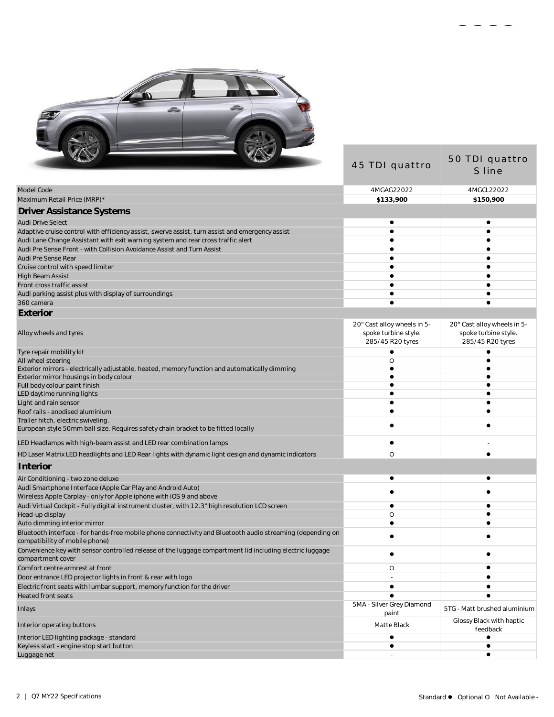

| <b>All Contract of the United States</b>                                                                                                     | 45 TDI quattro                                                          | 50 TDI quattro<br>S line                                                |
|----------------------------------------------------------------------------------------------------------------------------------------------|-------------------------------------------------------------------------|-------------------------------------------------------------------------|
| Model Code                                                                                                                                   | 4MGAG22022                                                              | 4MGCL22022                                                              |
| Maximum Retail Price (MRP)*                                                                                                                  | \$133,900                                                               | \$150,900                                                               |
| <b>Driver Assistance Systems</b>                                                                                                             |                                                                         |                                                                         |
| <b>Audi Drive Select</b>                                                                                                                     |                                                                         |                                                                         |
| Adaptive cruise control with efficiency assist, swerve assist, turn assist and emergency assist                                              |                                                                         |                                                                         |
| Audi Lane Change Assistant with exit warning system and rear cross traffic alert                                                             |                                                                         |                                                                         |
| Audi Pre Sense Front - with Collision Avoidance Assist and Turn Assist                                                                       |                                                                         |                                                                         |
| Audi Pre Sense Rear                                                                                                                          |                                                                         |                                                                         |
| Cruise control with speed limiter                                                                                                            |                                                                         |                                                                         |
| High Beam Assist                                                                                                                             |                                                                         |                                                                         |
| Front cross traffic assist                                                                                                                   |                                                                         |                                                                         |
| Audi parking assist plus with display of surroundings                                                                                        |                                                                         |                                                                         |
| 360 camera                                                                                                                                   |                                                                         |                                                                         |
| Exterior                                                                                                                                     |                                                                         |                                                                         |
| Alloy wheels and tyres                                                                                                                       | 20" Cast alloy wheels in 5-<br>spoke turbine style.<br>285/45 R20 tyres | 20" Cast alloy wheels in 5-<br>spoke turbine style.<br>285/45 R20 tyres |
| Tyre repair mobility kit                                                                                                                     |                                                                         |                                                                         |
| All wheel steering                                                                                                                           | O                                                                       |                                                                         |
| Exterior mirrors - electrically adjustable, heated, memory function and automatically dimming                                                |                                                                         |                                                                         |
| Exterior mirror housings in body colour                                                                                                      |                                                                         |                                                                         |
| Full body colour paint finish<br>LED daytime running lights                                                                                  |                                                                         |                                                                         |
| Light and rain sensor                                                                                                                        |                                                                         |                                                                         |
| Roof rails - anodised aluminium                                                                                                              |                                                                         |                                                                         |
| Trailer hitch, electric swiveling                                                                                                            |                                                                         |                                                                         |
| European style 50mm ball size. Requires safety chain bracket to be fitted locally                                                            |                                                                         |                                                                         |
| LED Headlamps with high-beam assist and LED rear combination lamps                                                                           |                                                                         |                                                                         |
| HD Laser Matrix LED headlights and LED Rear lights with dynamic light design and dynamic indicators                                          | O                                                                       |                                                                         |
| Interior                                                                                                                                     |                                                                         |                                                                         |
| Air Conditioning - two zone deluxe                                                                                                           |                                                                         |                                                                         |
| Audi Smartphone Interface (Apple Car Play and Android Auto)<br>Wireless Apple Carplay - only for Apple iphone with iOS 9 and above           |                                                                         |                                                                         |
| Audi Virtual Cockpit - Fully digital instrument cluster, with 12.3" high resolution LCD screen                                               |                                                                         |                                                                         |
| Head-up display                                                                                                                              | O                                                                       |                                                                         |
| Auto dimming interior mirror                                                                                                                 |                                                                         |                                                                         |
| Bluetooth interface - for hands-free mobile phone connectivity and Bluetooth audio streaming (depending on<br>compatibility of mobile phone) |                                                                         |                                                                         |
| Convenience key with sensor controlled release of the luggage compartment lid including electric luggage<br>compartment cover                |                                                                         |                                                                         |
| Comfort centre armrest at front                                                                                                              | O                                                                       |                                                                         |
| Door entrance LED projector lights in front & rear with logo                                                                                 |                                                                         |                                                                         |
| Electric front seats with lumbar support, memory function for the driver                                                                     | $\bullet$                                                               |                                                                         |
| Heated front seats                                                                                                                           |                                                                         |                                                                         |
| Inlays                                                                                                                                       | 5MA - Silver Grey Diamond<br>paint                                      | 5TG - Matt brushed aluminium                                            |
| Interior operating buttons                                                                                                                   | Matte Black                                                             | Glossy Black with haptic<br>feedback                                    |
| Interior LED lighting package - standard                                                                                                     |                                                                         |                                                                         |
| Keyless start - engine stop start button                                                                                                     |                                                                         |                                                                         |

Luggage net - letter and - letter and - letter and - letter and - letter and - letter and - letter and - letter and -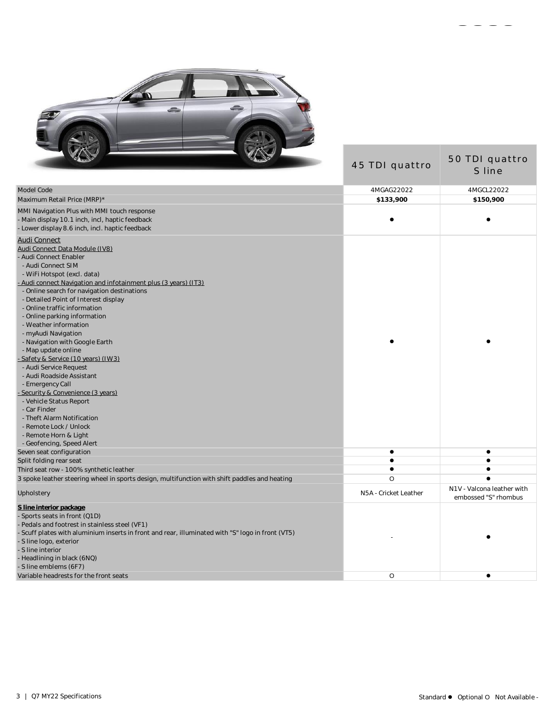

| $\sqrt{2}$                                                                                                                                                                                                                                                                                                                                                                                                                                                                                                                                                                                                                                                                                                                                                                                                                                                                                                                                                                             | 45 TDI quattro        | 50 TDI quattro<br>S line                           |
|----------------------------------------------------------------------------------------------------------------------------------------------------------------------------------------------------------------------------------------------------------------------------------------------------------------------------------------------------------------------------------------------------------------------------------------------------------------------------------------------------------------------------------------------------------------------------------------------------------------------------------------------------------------------------------------------------------------------------------------------------------------------------------------------------------------------------------------------------------------------------------------------------------------------------------------------------------------------------------------|-----------------------|----------------------------------------------------|
| Model Code                                                                                                                                                                                                                                                                                                                                                                                                                                                                                                                                                                                                                                                                                                                                                                                                                                                                                                                                                                             | 4MGAG22022            | 4MGCL22022                                         |
| Maximum Retail Price (MRP)*                                                                                                                                                                                                                                                                                                                                                                                                                                                                                                                                                                                                                                                                                                                                                                                                                                                                                                                                                            | \$133,900             | \$150,900                                          |
| MMI Navigation Plus with MMI touch response<br>- Main display 10.1 inch, incl, haptic feedback<br>Lower display 8.6 inch, incl. haptic feedback                                                                                                                                                                                                                                                                                                                                                                                                                                                                                                                                                                                                                                                                                                                                                                                                                                        |                       |                                                    |
| <b>Audi Connect</b><br>Audi Connect Data Module (IV8)<br>Audi Connect Enabler<br>- Audi Connect SIM<br>- WiFi Hotspot (excl. data)<br>- Audi connect Navigation and infotainment plus (3 years) (IT3)<br>- Online search for navigation destinations<br>- Detailed Point of Interest display<br>- Online traffic information<br>- Online parking information<br>- Weather information<br>- myAudi Navigation<br>- Navigation with Google Earth<br>- Map update online<br>Safety & Service (10 years) (IW3).<br>- Audi Service Request<br>- Audi Roadside Assistant<br>- Emergency Call<br>Security & Convenience (3 years)<br>- Vehicle Status Report<br>- Car Finder<br>- Theft Alarm Notification<br>- Remote Lock / Unlock<br>- Remote Horn & Light<br>- Geofencing, Speed Alert<br>Seven seat configuration<br>Split folding rear seat<br>Third seat row - 100% synthetic leather<br>3 spoke leather steering wheel in sports design, multifunction with shift paddles and heating | $\bullet$<br>$\circ$  | $\bullet$<br>٠<br>Ċ                                |
| Upholstery                                                                                                                                                                                                                                                                                                                                                                                                                                                                                                                                                                                                                                                                                                                                                                                                                                                                                                                                                                             | N5A - Cricket Leather | N1V - Valcona leather with<br>embossed "S" rhombus |
| S line interior package<br>Sports seats in front (Q1D)<br>Pedals and footrest in stainless steel (VF1)<br>Scuff plates with aluminium inserts in front and rear, illuminated with "S" logo in front (VT5)<br>S line logo, exterior<br>S line interior<br>- Headlining in black (6NQ)<br>- S line emblems (6F7)<br>Variable headrests for the front seats                                                                                                                                                                                                                                                                                                                                                                                                                                                                                                                                                                                                                               | O                     | ٠                                                  |
|                                                                                                                                                                                                                                                                                                                                                                                                                                                                                                                                                                                                                                                                                                                                                                                                                                                                                                                                                                                        |                       |                                                    |